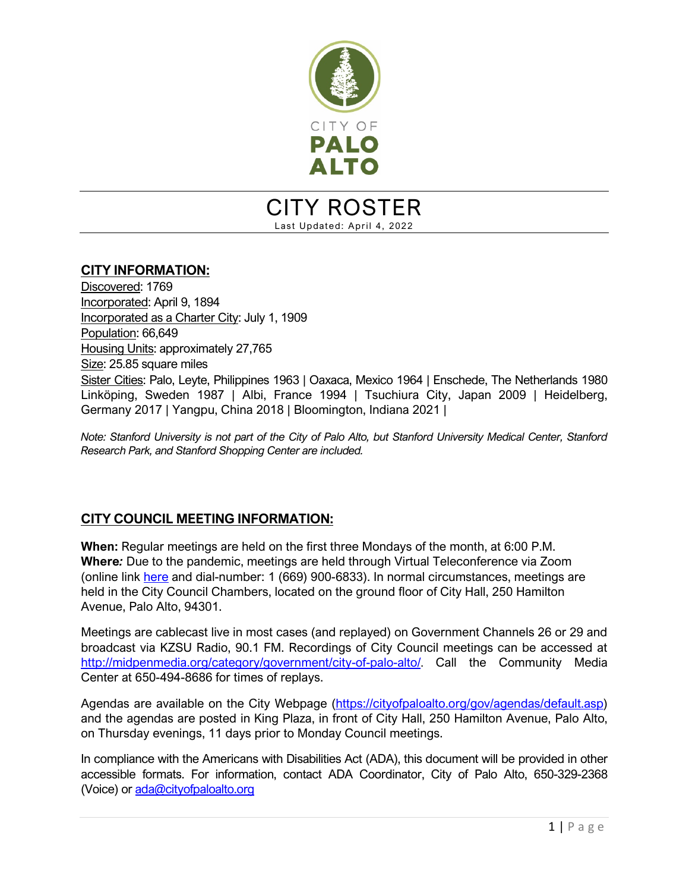

## CITY ROSTER Last Updated: April 4, 2022

#### **CITY INFORMATION:**

Discovered: 1769 Incorporated: April 9, 1894 Incorporated as a Charter City: July 1, 1909 Population: 66,649 Housing Units: approximately 27,765 Size: 25.85 square miles Sister Cities: Palo, Leyte, Philippines 1963 | Oaxaca, Mexico 1964 | Enschede, The Netherlands 1980 Linköping, Sweden 1987 | Albi, France 1994 | Tsuchiura City, Japan 2009 | Heidelberg, Germany 2017 | Yangpu, China 2018 | Bloomington, Indiana 2021 |

*Note: Stanford University is not part of the City of Palo Alto, but Stanford University Medical Center, Stanford Research Park, and Stanford Shopping Center are included.*

## **CITY COUNCIL MEETING INFORMATION:**

**When:** Regular meetings are held on the first three Mondays of the month, at 6:00 P.M. **Where***:* Due to the pandemic, meetings are held through Virtual Teleconference via Zoom (online link [here](https://cityofpaloalto.zoom.us/s/362027238) and dial-number: 1 (669) 900-6833). In normal circumstances, meetings are held in the City Council Chambers, located on the ground floor of City Hall, 250 Hamilton Avenue, Palo Alto, 94301.

Meetings are cablecast live in most cases (and replayed) on Government Channels 26 or 29 and broadcast via KZSU Radio, 90.1 FM. Recordings of City Council meetings can be accessed at [http://midpenmedia.org/category/government/city-of-palo-alto/.](http://midpenmedia.org/category/government/city-of-palo-alto/) Call the Community Media Center at 650-494-8686 for times of replays.

Agendas are available on the City Webpage [\(https://cityofpaloalto.org/gov/agendas/default.asp\)](https://cityofpaloalto.org/gov/agendas/default.asp) and the agendas are posted in King Plaza, in front of City Hall, 250 Hamilton Avenue, Palo Alto, on Thursday evenings, 11 days prior to Monday Council meetings.

In compliance with the Americans with Disabilities Act (ADA), this document will be provided in other accessible formats. For information, contact ADA Coordinator, City of Palo Alto, 650-329-2368 (Voice) or [ada@cityofpaloalto.org](mailto:ada@cityofpaloalto.org)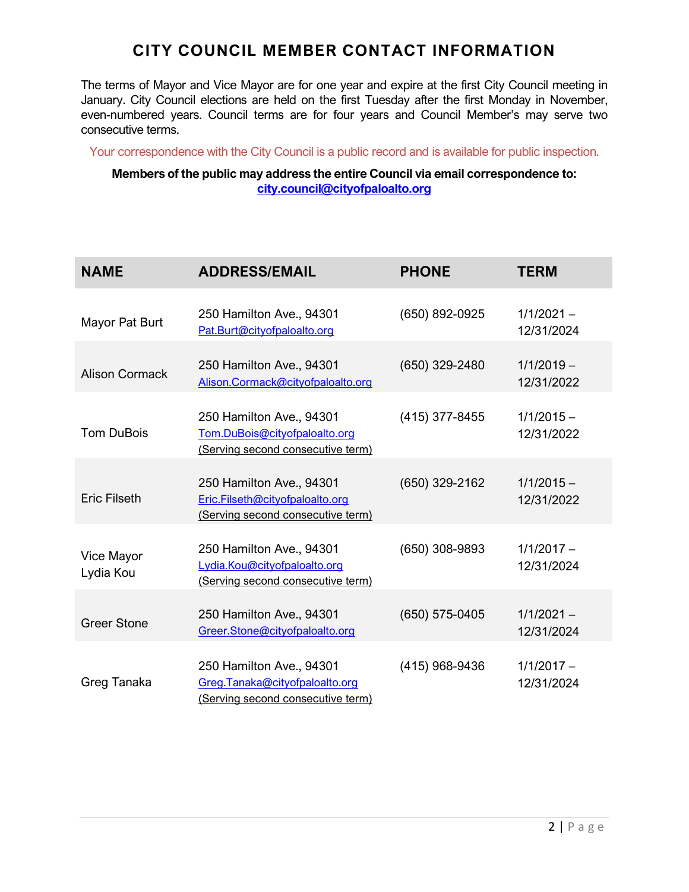## **CITY COUNCIL MEMBER CONTACT INFORMATION**

The terms of Mayor and Vice Mayor are for one year and expire at the first City Council meeting in January. City Council elections are held on the first Tuesday after the first Monday in November, even-numbered years. Council terms are for four years and Council Member's may serve two consecutive terms.

Your correspondence with the City Council is a public record and is available for public inspection.

#### **Members of the public may address the entire Council via email correspondence to: [city.council@cityofpaloalto.org](mailto:city.council@cityofpaloalto.org)**

| <b>NAME</b>             | <b>ADDRESS/EMAIL</b>                                                                             | <b>PHONE</b>   | <b>TERM</b>                |
|-------------------------|--------------------------------------------------------------------------------------------------|----------------|----------------------------|
| Mayor Pat Burt          | 250 Hamilton Ave., 94301<br>Pat.Burt@cityofpaloalto.org                                          | (650) 892-0925 | $1/1/2021 -$<br>12/31/2024 |
| <b>Alison Cormack</b>   | 250 Hamilton Ave., 94301<br>Alison.Cormack@cityofpaloalto.org                                    | (650) 329-2480 | $1/1/2019 -$<br>12/31/2022 |
| <b>Tom DuBois</b>       | 250 Hamilton Ave., 94301<br>Tom.DuBois@cityofpaloalto.org<br>(Serving second consecutive term)   | (415) 377-8455 | $1/1/2015 -$<br>12/31/2022 |
| <b>Eric Filseth</b>     | 250 Hamilton Ave., 94301<br>Eric.Filseth@cityofpaloalto.org<br>(Serving second consecutive term) | (650) 329-2162 | $1/1/2015 -$<br>12/31/2022 |
| Vice Mayor<br>Lydia Kou | 250 Hamilton Ave., 94301<br>Lydia.Kou@cityofpaloalto.org<br>(Serving second consecutive term)    | (650) 308-9893 | $1/1/2017 -$<br>12/31/2024 |
| <b>Greer Stone</b>      | 250 Hamilton Ave., 94301<br>Greer.Stone@cityofpaloalto.org                                       | (650) 575-0405 | $1/1/2021 -$<br>12/31/2024 |
| Greg Tanaka             | 250 Hamilton Ave., 94301<br>Greg.Tanaka@cityofpaloalto.org<br>(Serving second consecutive term)  | (415) 968-9436 | $1/1/2017 -$<br>12/31/2024 |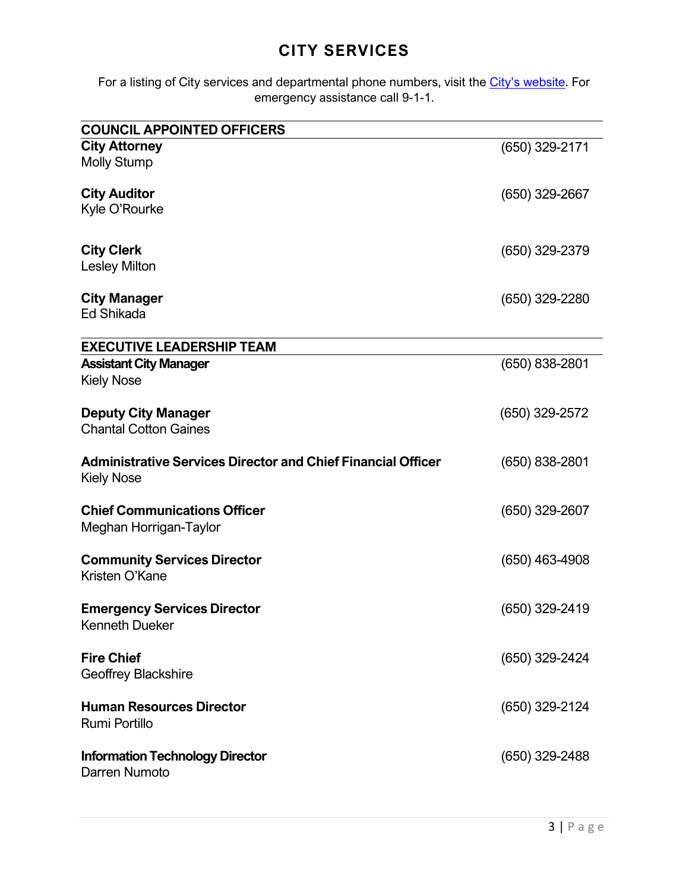## **CITY SERVICES**

For a listing of City services and departmental phone numbers, visit the *City's website*. For emergency assistance call 9-1-1.

| <b>COUNCIL APPOINTED OFFICERS</b>                                                        |                  |
|------------------------------------------------------------------------------------------|------------------|
| <b>City Attorney</b><br><b>Molly Stump</b>                                               | (650) 329-2171   |
| <b>City Auditor</b><br>Kyle O'Rourke                                                     | $(650)$ 329-2667 |
| <b>City Clerk</b><br><b>Lesley Milton</b>                                                | $(650)$ 329-2379 |
| <b>City Manager</b><br><b>Ed Shikada</b>                                                 | (650) 329-2280   |
| <b>EXECUTIVE LEADERSHIP TEAM</b>                                                         |                  |
| <b>Assistant City Manager</b><br><b>Kiely Nose</b>                                       | (650) 838-2801   |
| <b>Deputy City Manager</b><br><b>Chantal Cotton Gaines</b>                               | (650) 329-2572   |
| <b>Administrative Services Director and Chief Financial Officer</b><br><b>Kiely Nose</b> | $(650)$ 838-2801 |
| <b>Chief Communications Officer</b><br>Meghan Horrigan-Taylor                            | $(650)$ 329-2607 |
| <b>Community Services Director</b><br>Kristen O'Kane                                     | $(650)$ 463-4908 |
| <b>Emergency Services Director</b><br><b>Kenneth Dueker</b>                              | (650) 329-2419   |
| <b>Fire Chief</b><br><b>Geoffrey Blackshire</b>                                          | (650) 329-2424   |
| <b>Human Resources Director</b><br>Rumi Portillo                                         | (650) 329-2124   |
| <b>Information Technology Director</b><br>Darren Numoto                                  | $(650)$ 329-2488 |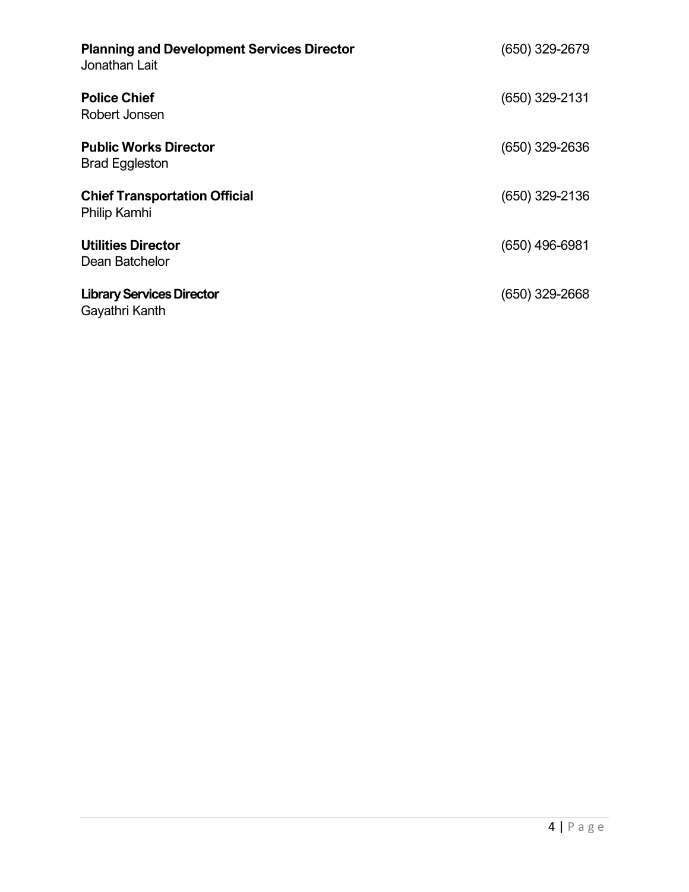| <b>Planning and Development Services Director</b><br>Jonathan Lait | (650) 329-2679   |
|--------------------------------------------------------------------|------------------|
| <b>Police Chief</b><br>Robert Jonsen                               | $(650)$ 329-2131 |
| <b>Public Works Director</b><br><b>Brad Eggleston</b>              | $(650)$ 329-2636 |
| <b>Chief Transportation Official</b><br>Philip Kamhi               | $(650)$ 329-2136 |
| <b>Utilities Director</b><br>Dean Batchelor                        | $(650)$ 496-6981 |
| <b>Library Services Director</b><br>Gayathri Kanth                 | $(650)$ 329-2668 |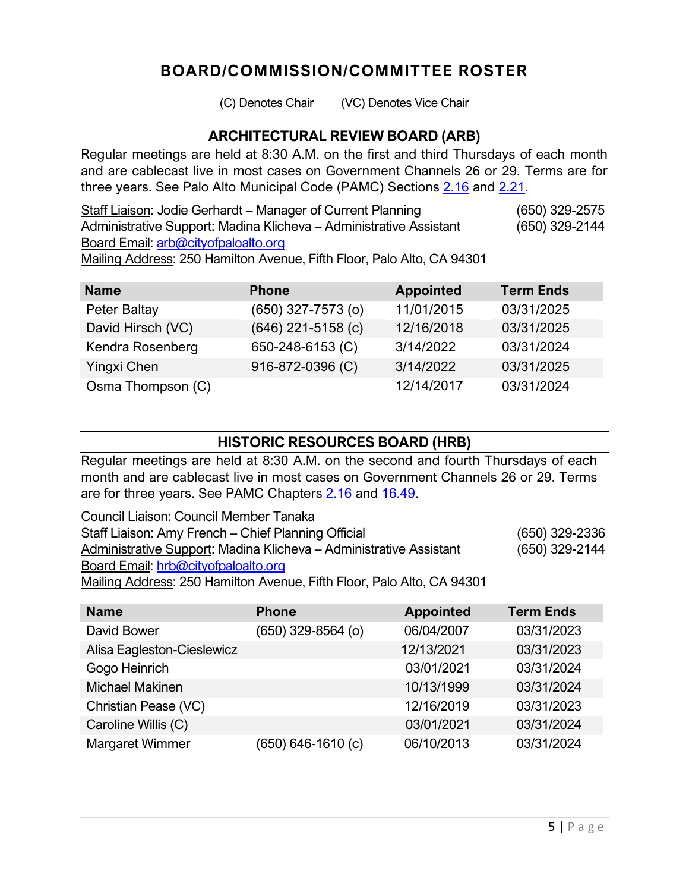## **BOARD/COMMISSION/COMMITTEE ROSTER**

(C) Denotes Chair (VC) Denotes Vice Chair

## **ARCHITECTURAL REVIEW BOARD (ARB)**

Regular meetings are held at 8:30 A.M. on the first and third Thursdays of each month and are cablecast live in most cases on Government Channels 26 or 29. Terms are for three years. See Palo Alto Municipal Code (PAMC) Sections [2.16](http://www.amlegal.com/nxt/gateway.dll/California/paloalto_ca/title2administrativecode*/chapter216boardsandcommissionsgenerally?f=templates$fn=default.htm$3.0$vid=amlegal:paloalto_ca$anc=JD_Chapter2.16) and [2.21.](http://www.amlegal.com/nxt/gateway.dll/California/paloalto_ca/title2administrativecode*/chapter221architecturalreviewboard?f=templates$fn=default.htm$3.0$vid=amlegal:paloalto_ca$anc=JD_Chapter2.21)

Staff Liaison: Jodie Gerhardt – Manager of Current Planning (650) 329-2575 Administrative Support: Madina Klicheva – Administrative Assistant (650) 329-2144 Board Email: [arb@cityofpaloalto.org](mailto:arb@cityofpaloalto.org)

Mailing Address: 250 Hamilton Avenue, Fifth Floor, Palo Alto, CA 94301

| <b>Name</b>       | <b>Phone</b>           | <b>Appointed</b> | <b>Term Ends</b> |
|-------------------|------------------------|------------------|------------------|
| Peter Baltay      | $(650)$ 327-7573 $(o)$ | 11/01/2015       | 03/31/2025       |
| David Hirsch (VC) | $(646)$ 221-5158 (c)   | 12/16/2018       | 03/31/2025       |
| Kendra Rosenberg  | 650-248-6153 (C)       | 3/14/2022        | 03/31/2024       |
| Yingxi Chen       | 916-872-0396 (C)       | 3/14/2022        | 03/31/2025       |
| Osma Thompson (C) |                        | 12/14/2017       | 03/31/2024       |

## **HISTORIC RESOURCES BOARD (HRB)**

Regular meetings are held at 8:30 A.M. on the second and fourth Thursdays of each month and are cablecast live in most cases on Government Channels 26 or 29. Terms are for three years. See PAMC Chapters [2.16](http://www.amlegal.com/nxt/gateway.dll/California/paloalto_ca/title2administrativecode*/chapter216boardsandcommissionsgenerally?f=templates$fn=default.htm$3.0$vid=amlegal:paloalto_ca$anc=JD_Chapter2.16) and [16.49.](http://www.amlegal.com/nxt/gateway.dll/California/paloalto_ca/title16buildingregulations*/chapter1649historicpreservation*?f=templates$fn=default.htm$3.0$vid=amlegal:paloalto_ca$anc=JD_Chapter16.49)

| Council Liaison: Council Member Tanaka                                 |                |
|------------------------------------------------------------------------|----------------|
| Staff Liaison: Amy French – Chief Planning Official                    | (650) 329-2336 |
| Administrative Support: Madina Klicheva – Administrative Assistant     | (650) 329-2144 |
| Board Email: hrb@cityofpaloalto.org                                    |                |
| Mailing Address: 250 Hamilton Avenue, Fifth Floor, Palo Alto, CA 94301 |                |

**Name Phone Appointed Term Ends** David Bower (650) 329-8564 (o) 06/04/2007 03/31/2023 Alisa Eagleston-Cieslewicz 12/13/2021 03/31/2023 Gogo Heinrich **62/01/2021** 03/01/2021 03/31/2024 Michael Makinen 10/13/1999 03/31/2024 Christian Pease (VC) 12/16/2019 03/31/2023 Caroline Willis (C) 03/01/2021 03/31/2024 Margaret Wimmer (650) 646-1610 (c) 06/10/2013 03/31/2024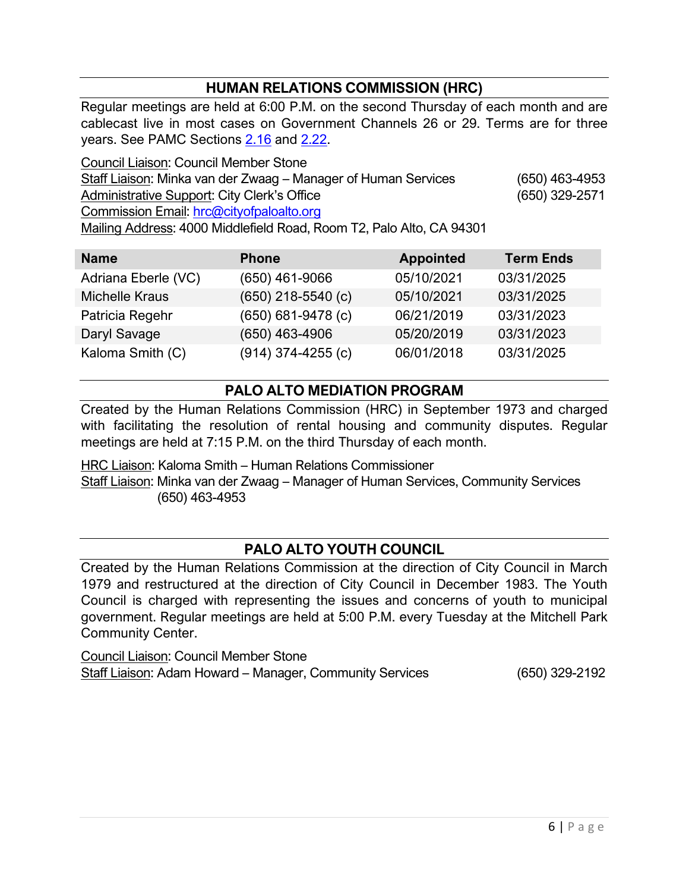## **HUMAN RELATIONS COMMISSION (HRC)**

Regular meetings are held at 6:00 P.M. on the second Thursday of each month and are cablecast live in most cases on Government Channels 26 or 29. Terms are for three years. See PAMC Sections [2.16](http://www.amlegal.com/nxt/gateway.dll/California/paloalto_ca/title2administrativecode*/chapter216boardsandcommissionsgenerally?f=templates$fn=default.htm$3.0$vid=amlegal:paloalto_ca$anc=JD_Chapter2.16) and [2.22.](http://www.amlegal.com/nxt/gateway.dll/California/paloalto_ca/title2administrativecode*/chapter222humanrelationscommission?f=templates$fn=default.htm$3.0$vid=amlegal:paloalto_ca$anc=JD_Chapter2.22)

Council Liaison: Council Member Stone Staff Liaison: Minka van der Zwaag – Manager of Human Services (650) 463-4953 Administrative Support: City Clerk's Office (650) 329-2571 Commission Email: [hrc@cityofpaloalto.org](mailto:hrc@cityofpaloalto.org) Mailing Address: 4000 Middlefield Road, Room T2, Palo Alto, CA 94301

| <b>Name</b>           | <b>Phone</b>         | <b>Appointed</b> | <b>Term Ends</b> |
|-----------------------|----------------------|------------------|------------------|
| Adriana Eberle (VC)   | $(650)$ 461-9066     | 05/10/2021       | 03/31/2025       |
| <b>Michelle Kraus</b> | $(650)$ 218-5540 (c) | 05/10/2021       | 03/31/2025       |
| Patricia Regehr       | $(650)$ 681-9478 (c) | 06/21/2019       | 03/31/2023       |
| Daryl Savage          | (650) 463-4906       | 05/20/2019       | 03/31/2023       |
| Kaloma Smith (C)      | $(914)$ 374-4255 (c) | 06/01/2018       | 03/31/2025       |

## **PALO ALTO MEDIATION PROGRAM**

Created by the Human Relations Commission (HRC) in September 1973 and charged with facilitating the resolution of rental housing and community disputes. Regular meetings are held at 7:15 P.M. on the third Thursday of each month.

HRC Liaison: Kaloma Smith – Human Relations Commissioner Staff Liaison: Minka van der Zwaag – Manager of Human Services, Community Services (650) 463-4953

## **PALO ALTO YOUTH COUNCIL**

Created by the Human Relations Commission at the direction of City Council in March 1979 and restructured at the direction of City Council in December 1983. The Youth Council is charged with representing the issues and concerns of youth to municipal government. Regular meetings are held at 5:00 P.M. every Tuesday at the Mitchell Park Community Center.

Council Liaison: Council Member Stone Staff Liaison: Adam Howard – Manager, Community Services (650) 329-2192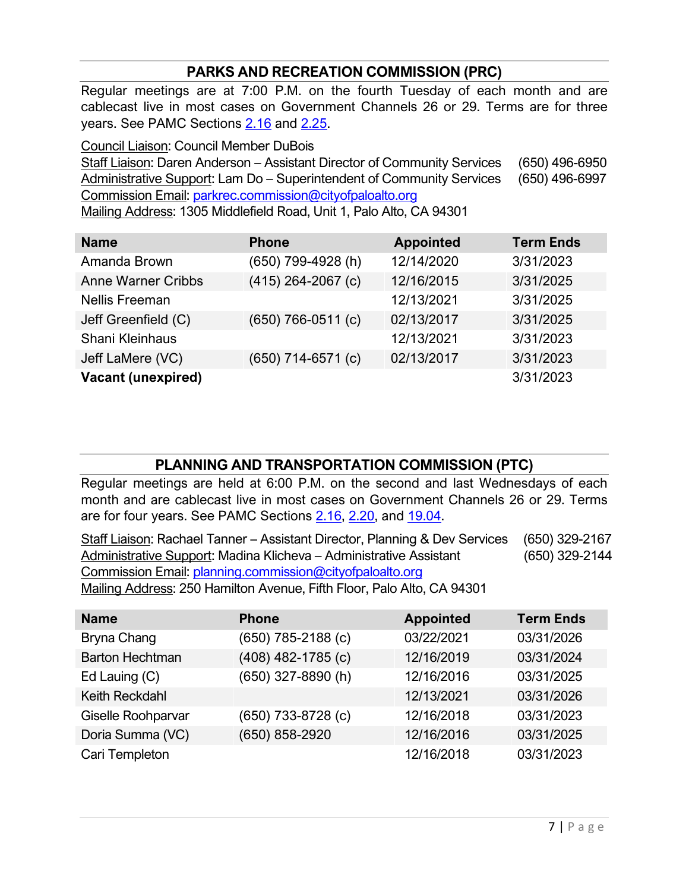## **PARKS AND RECREATION COMMISSION (PRC)**

Regular meetings are at 7:00 P.M. on the fourth Tuesday of each month and are cablecast live in most cases on Government Channels 26 or 29. Terms are for three years. See PAMC Sections [2.16](http://www.amlegal.com/nxt/gateway.dll/California/paloalto_ca/title2administrativecode*/chapter216boardsandcommissionsgenerally?f=templates$fn=default.htm$3.0$vid=amlegal:paloalto_ca$anc=JD_Chapter2.16) and [2.25.](http://www.amlegal.com/nxt/gateway.dll/California/paloalto_ca/title2administrativecode*/chapter225parksandrecreationcommission?f=templates$fn=default.htm$3.0$vid=amlegal:paloalto_ca$anc=JD_Chapter2.25)

Council Liaison: Council Member DuBois Staff Liaison: Daren Anderson – Assistant Director of Community Services (650) 496-6950 Administrative Support: Lam Do – Superintendent of Community Services (650) 496-6997 Commission Email: [parkrec.commission@cityofpaloalto.org](mailto:parkrec.commission@cityofpaloalto.org) Mailing Address: 1305 Middlefield Road, Unit 1, Palo Alto, CA 94301

| <b>Name</b>               | <b>Phone</b>         | <b>Appointed</b> | <b>Term Ends</b> |
|---------------------------|----------------------|------------------|------------------|
| Amanda Brown              | (650) 799-4928 (h)   | 12/14/2020       | 3/31/2023        |
| <b>Anne Warner Cribbs</b> | $(415)$ 264-2067 (c) | 12/16/2015       | 3/31/2025        |
| <b>Nellis Freeman</b>     |                      | 12/13/2021       | 3/31/2025        |
| Jeff Greenfield (C)       | $(650)$ 766-0511 (c) | 02/13/2017       | 3/31/2025        |
| Shani Kleinhaus           |                      | 12/13/2021       | 3/31/2023        |
| Jeff LaMere (VC)          | (650) 714-6571 (c)   | 02/13/2017       | 3/31/2023        |
| <b>Vacant (unexpired)</b> |                      |                  | 3/31/2023        |

## **PLANNING AND TRANSPORTATION COMMISSION (PTC)**

Regular meetings are held at 6:00 P.M. on the second and last Wednesdays of each month and are cablecast live in most cases on Government Channels 26 or 29. Terms are for four years. See PAMC Sections [2.16,](http://www.amlegal.com/nxt/gateway.dll/California/paloalto_ca/title2administrativecode*/chapter216boardsandcommissionsgenerally?f=templates$fn=default.htm$3.0$vid=amlegal:paloalto_ca$anc=JD_Chapter2.16) [2.20,](http://www.amlegal.com/nxt/gateway.dll/California/paloalto_ca/title2administrativecode*/chapter220planningandtransportationcommi?f=templates$fn=default.htm$3.0$vid=amlegal:paloalto_ca$anc=JD_Chapter2.20) and [19.04.](http://www.amlegal.com/nxt/gateway.dll/California/paloalto_ca/title19masterplan*/chapter1904planningcommission*?f=templates$fn=default.htm$3.0$vid=amlegal:paloalto_ca$anc=JD_Chapter19.04)

Staff Liaison: Rachael Tanner – Assistant Director, Planning & Dev Services (650) 329-2167 Administrative Support: Madina Klicheva – Administrative Assistant (650) 329-2144 Commission Email: [planning.commission@cityofpaloalto.org](mailto:planning.commission@cityofpaloalto.org)

Mailing Address: 250 Hamilton Avenue, Fifth Floor, Palo Alto, CA 94301

| <b>Name</b>            | <b>Phone</b>           | <b>Appointed</b> | <b>Term Ends</b> |
|------------------------|------------------------|------------------|------------------|
| Bryna Chang            | $(650)$ 785-2188 $(c)$ | 03/22/2021       | 03/31/2026       |
| <b>Barton Hechtman</b> | $(408)$ 482-1785 $(c)$ | 12/16/2019       | 03/31/2024       |
| Ed Lauing (C)          | (650) 327-8890 (h)     | 12/16/2016       | 03/31/2025       |
| Keith Reckdahl         |                        | 12/13/2021       | 03/31/2026       |
| Giselle Roohparvar     | (650) 733-8728 (c)     | 12/16/2018       | 03/31/2023       |
| Doria Summa (VC)       | (650) 858-2920         | 12/16/2016       | 03/31/2025       |
| Cari Templeton         |                        | 12/16/2018       | 03/31/2023       |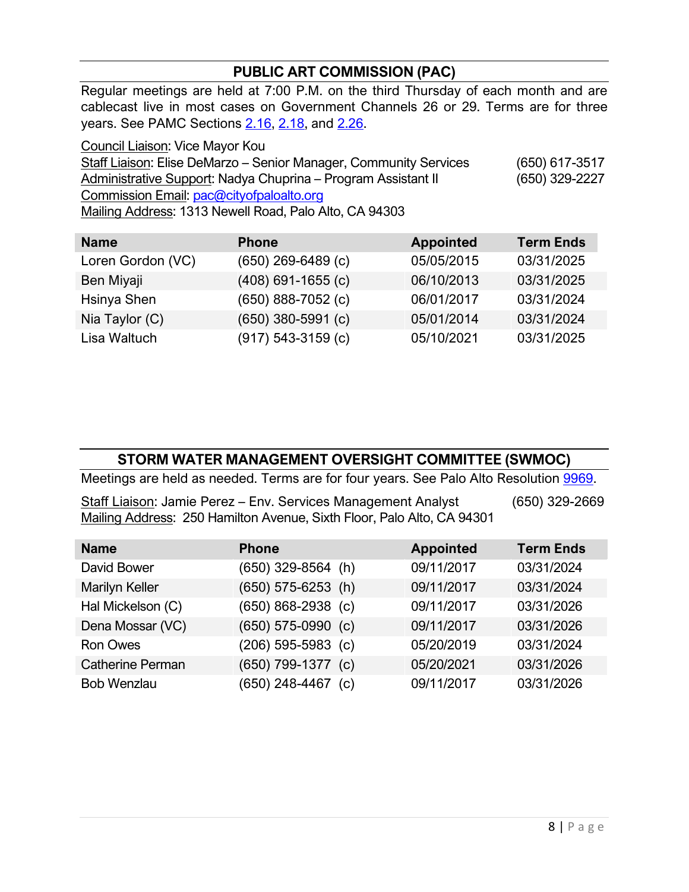## **PUBLIC ART COMMISSION (PAC)**

Regular meetings are held at 7:00 P.M. on the third Thursday of each month and are cablecast live in most cases on Government Channels 26 or 29. Terms are for three years. See PAMC Sections [2.16,](http://www.amlegal.com/nxt/gateway.dll/California/paloalto_ca/title2administrativecode*/chapter216boardsandcommissionsgenerally?f=templates$fn=default.htm$3.0$vid=amlegal:paloalto_ca$anc=JD_Chapter2.16) [2.18,](http://www.amlegal.com/nxt/gateway.dll/California/paloalto_ca/title2administrativecode*/chapter218publicartcommission*?f=templates$fn=default.htm$3.0$vid=amlegal:paloalto_ca$anc=JD_Chapter2.18) and [2.26.](http://www.amlegal.com/nxt/gateway.dll/California/paloalto_ca/title2administrativecode*/chapter226visualartinpublicplaces?f=templates$fn=default.htm$3.0$vid=amlegal:paloalto_ca$anc=JD_Chapter2.26)

Council Liaison: Vice Mayor Kou Staff Liaison: Elise DeMarzo – Senior Manager, Community Services (650) 617-3517 Administrative Support: Nadya Chuprina – Program Assistant II (650) 329-2227 Commission Email: [pac@cityofpaloalto.org](mailto:pac@cityofpaloalto.org) Mailing Address: 1313 Newell Road, Palo Alto, CA 94303

| <b>Name</b>       | <b>Phone</b>           | <b>Appointed</b> | <b>Term Ends</b> |
|-------------------|------------------------|------------------|------------------|
| Loren Gordon (VC) | $(650)$ 269-6489 $(c)$ | 05/05/2015       | 03/31/2025       |
| Ben Miyaji        | $(408)$ 691-1655 (c)   | 06/10/2013       | 03/31/2025       |
| Hsinya Shen       | $(650)$ 888-7052 $(c)$ | 06/01/2017       | 03/31/2024       |
| Nia Taylor (C)    | $(650)$ 380-5991 (c)   | 05/01/2014       | 03/31/2024       |
| Lisa Waltuch      | $(917)$ 543-3159 (c)   | 05/10/2021       | 03/31/2025       |

## **STORM WATER MANAGEMENT OVERSIGHT COMMITTEE (SWMOC)**

Meetings are held as needed. Terms are for four years. See Palo Alto Resolution [9969.](https://www.cityofpaloalto.org/files/assets/public/city-clerk/resolutions/resolutions-1909-to-present/2021/reso-9969.pdf)

Staff Liaison: Jamie Perez – Env. Services Management Analyst (650) 329-2669 Mailing Address: 250 Hamilton Avenue, Sixth Floor, Palo Alto, CA 94301

| <b>Name</b>             | <b>Phone</b>           | <b>Appointed</b> | <b>Term Ends</b> |
|-------------------------|------------------------|------------------|------------------|
| David Bower             | $(650)$ 329-8564 (h)   | 09/11/2017       | 03/31/2024       |
| Marilyn Keller          | $(650)$ 575-6253 (h)   | 09/11/2017       | 03/31/2024       |
| Hal Mickelson (C)       | $(650) 868 - 2938$ (c) | 09/11/2017       | 03/31/2026       |
| Dena Mossar (VC)        | $(650) 575-0990$ (c)   | 09/11/2017       | 03/31/2026       |
| <b>Ron Owes</b>         | $(206)$ 595-5983 (c)   | 05/20/2019       | 03/31/2024       |
| <b>Catherine Perman</b> | $(650)$ 799-1377 (c)   | 05/20/2021       | 03/31/2026       |
| <b>Bob Wenzlau</b>      | $(650)$ 248-4467 (c)   | 09/11/2017       | 03/31/2026       |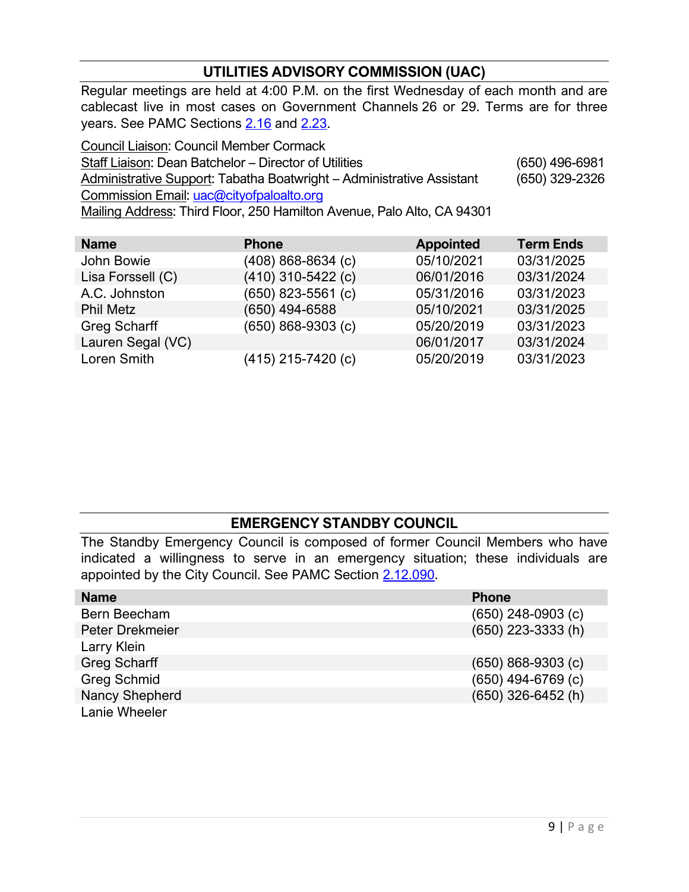## **UTILITIES ADVISORY COMMISSION (UAC)**

Regular meetings are held at 4:00 P.M. on the first Wednesday of each month and are cablecast live in most cases on Government Channels 26 or 29. Terms are for three years. See PAMC Sections [2.16](http://www.amlegal.com/nxt/gateway.dll/California/paloalto_ca/title2administrativecode*/chapter216boardsandcommissionsgenerally?f=templates$fn=default.htm$3.0$vid=amlegal:paloalto_ca$anc=JD_Chapter2.16) and [2.23.](http://www.amlegal.com/nxt/gateway.dll/California/paloalto_ca/title2administrativecode*/chapter223utilitiesadvisorycommission?f=templates$fn=default.htm$3.0$vid=amlegal:paloalto_ca$anc=JD_Chapter2.23)

Council Liaison: Council Member Cormack Staff Liaison: Dean Batchelor – Director of Utilities (650) 496-6981 Administrative Support: Tabatha Boatwright – Administrative Assistant (650) 329-2326 Commission Email: [uac@cityofpaloalto.org](mailto:uac@cityofpaloalto.org) Mailing Address: Third Floor, 250 Hamilton Avenue, Palo Alto, CA 94301

| <b>Name</b>       | <b>Phone</b>           | <b>Appointed</b> | <b>Term Ends</b> |
|-------------------|------------------------|------------------|------------------|
| John Bowie        | $(408)$ 868-8634 (c)   | 05/10/2021       | 03/31/2025       |
| Lisa Forssell (C) | $(410)$ 310-5422 (c)   | 06/01/2016       | 03/31/2024       |
| A.C. Johnston     | $(650)$ 823-5561 (c)   | 05/31/2016       | 03/31/2023       |
| <b>Phil Metz</b>  | (650) 494-6588         | 05/10/2021       | 03/31/2025       |
| Greg Scharff      | $(650)$ 868-9303 $(c)$ | 05/20/2019       | 03/31/2023       |
| Lauren Segal (VC) |                        | 06/01/2017       | 03/31/2024       |
| Loren Smith       | (415) 215-7420 (c)     | 05/20/2019       | 03/31/2023       |

## **EMERGENCY STANDBY COUNCIL**

The Standby Emergency Council is composed of former Council Members who have indicated a willingness to serve in an emergency situation; these individuals are appointed by the City Council. See PAMC Section [2.12.090.](http://www.amlegal.com/nxt/gateway.dll/California/paloalto_ca/title2administrativecode*/chapter212emergencyorganizationandfuncti?f=templates$fn=default.htm$3.0$vid=amlegal:paloalto_ca$anc=JD_2.12.090)

| <b>Name</b>         | <b>Phone</b>           |
|---------------------|------------------------|
| Bern Beecham        | $(650)$ 248-0903 $(c)$ |
| Peter Drekmeier     | $(650)$ 223-3333 (h)   |
| Larry Klein         |                        |
| <b>Greg Scharff</b> | $(650)$ 868-9303 (c)   |
| <b>Greg Schmid</b>  | $(650)$ 494-6769 (c)   |
| Nancy Shepherd      | (650) 326-6452 (h)     |
| Lanie Wheeler       |                        |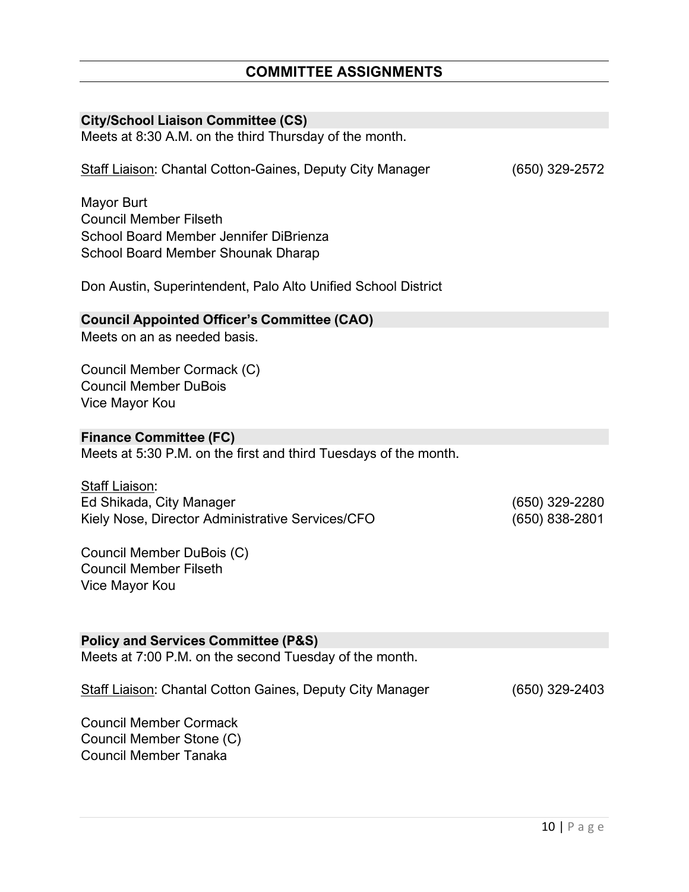# **City/School Liaison Committee (CS)** Meets at 8:30 A.M. on the third Thursday of the month. Staff Liaison: Chantal Cotton-Gaines, Deputy City Manager (650) 329-2572 Mayor Burt Council Member Filseth School Board Member Jennifer DiBrienza School Board Member Shounak Dharap Don Austin, Superintendent, Palo Alto Unified School District **Council Appointed Officer's Committee (CAO)** Meets on an as needed basis. Council Member Cormack (C) Council Member DuBois Vice Mayor Kou **Finance Committee (FC)** Meets at 5:30 P.M. on the first and third Tuesdays of the month. Staff Liaison: Ed Shikada, City Manager (650) 329-2280 Kiely Nose, Director Administrative Services/CFO (650) 838-2801 Council Member DuBois (C) Council Member Filseth Vice Mayor Kou **Policy and Services Committee (P&S)** Meets at 7:00 P.M. on the second Tuesday of the month. Staff Liaison: Chantal Cotton Gaines, Deputy City Manager (650) 329-2403 Council Member Cormack Council Member Stone (C) Council Member Tanaka

**COMMITTEE ASSIGNMENTS**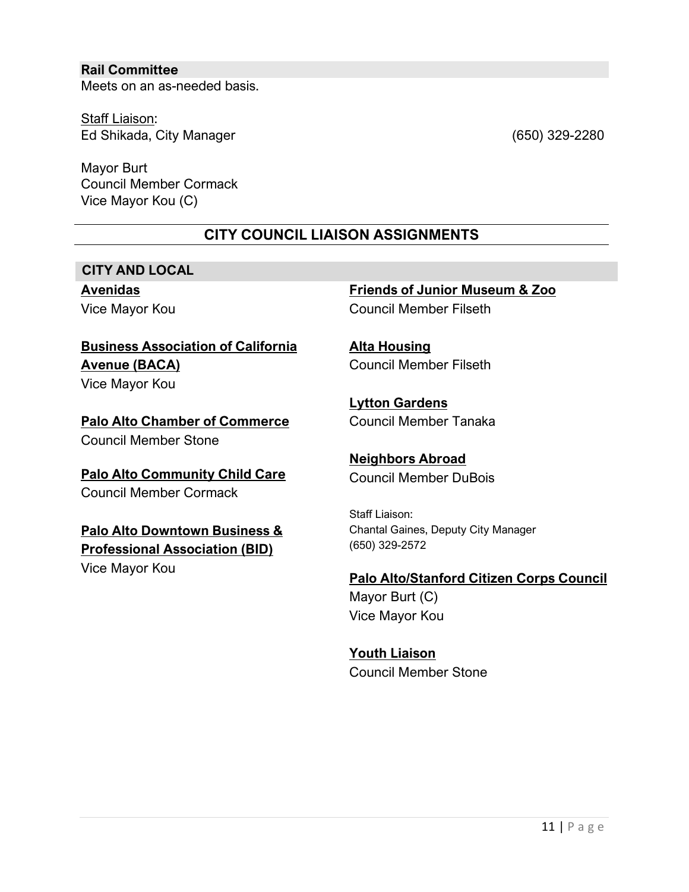#### **Rail Committee**

Meets on an as-needed basis.

Staff Liaison: Ed Shikada, City Manager (650) 329-2280

Mayor Burt Council Member Cormack Vice Mayor Kou (C)

## **CITY COUNCIL LIAISON ASSIGNMENTS**

### **CITY AND LOCAL**

**Avenidas** Vice Mayor Kou

## **Business Association of California Avenue (BACA)**

Vice Mayor Kou

**Palo Alto Chamber of Commerce** Council Member Stone

**Palo Alto Community Child Care** Council Member Cormack

## **Palo Alto Downtown Business & Professional Association (BID)**

Vice Mayor Kou

**Friends of Junior Museum & Zoo** Council Member Filseth

**Alta Housing** Council Member Filseth

**Lytton Gardens** Council Member Tanaka

**Neighbors Abroad** Council Member DuBois

Staff Liaison: Chantal Gaines, Deputy City Manager (650) 329-2572

#### **Palo Alto/Stanford Citizen Corps Council**

Mayor Burt (C) Vice Mayor Kou

**Youth Liaison** Council Member Stone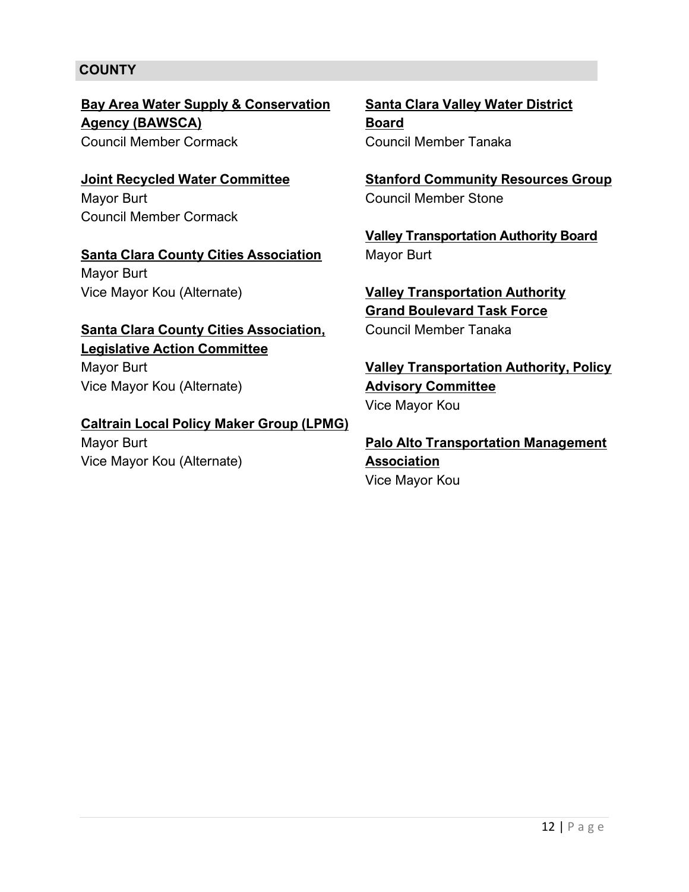## **COUNTY**

**Bay Area Water Supply & Conservation Agency (BAWSCA)** Council Member Cormack

**Joint Recycled Water Committee** Mayor Burt Council Member Cormack

**Santa Clara County Cities Association** Mayor Burt Vice Mayor Kou (Alternate)

**Santa Clara County Cities Association, Legislative Action Committee**

Mayor Burt Vice Mayor Kou (Alternate)

**Caltrain Local Policy Maker Group (LPMG)** Mayor Burt

Vice Mayor Kou (Alternate)

**Santa Clara Valley Water District Board** Council Member Tanaka

**Stanford Community Resources Group** Council Member Stone

**Valley Transportation Authority Board**  Mayor Burt

**Valley Transportation Authority Grand Boulevard Task Force** Council Member Tanaka

**Valley Transportation Authority, Policy Advisory Committee** Vice Mayor Kou

**Palo Alto Transportation Management Association** Vice Mayor Kou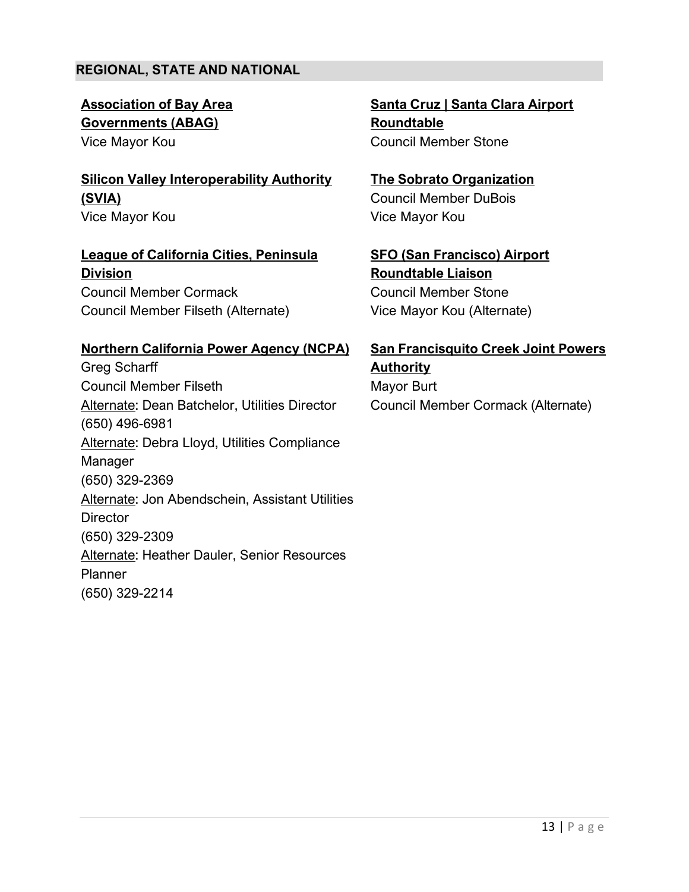## **REGIONAL, STATE AND NATIONAL**

**Association of Bay Area Governments (ABAG)** Vice Mayor Kou

**Silicon Valley Interoperability Authority (SVIA)** Vice Mayor Kou

**League of California Cities, Peninsula Division** Council Member Cormack Council Member Filseth (Alternate)

#### **Northern California Power Agency (NCPA)**

Greg Scharff Council Member Filseth Alternate: Dean Batchelor, Utilities Director (650) 496-6981 Alternate: Debra Lloyd, Utilities Compliance Manager (650) 329-2369 Alternate: Jon Abendschein, Assistant Utilities **Director** (650) 329-2309 Alternate: Heather Dauler, Senior Resources Planner (650) 329-2214

**Santa Cruz | Santa Clara Airport Roundtable** Council Member Stone

**The Sobrato Organization** Council Member DuBois Vice Mayor Kou

**SFO (San Francisco) Airport Roundtable Liaison** Council Member Stone Vice Mayor Kou (Alternate)

## **San Francisquito Creek Joint Powers Authority** Mayor Burt

Council Member Cormack (Alternate)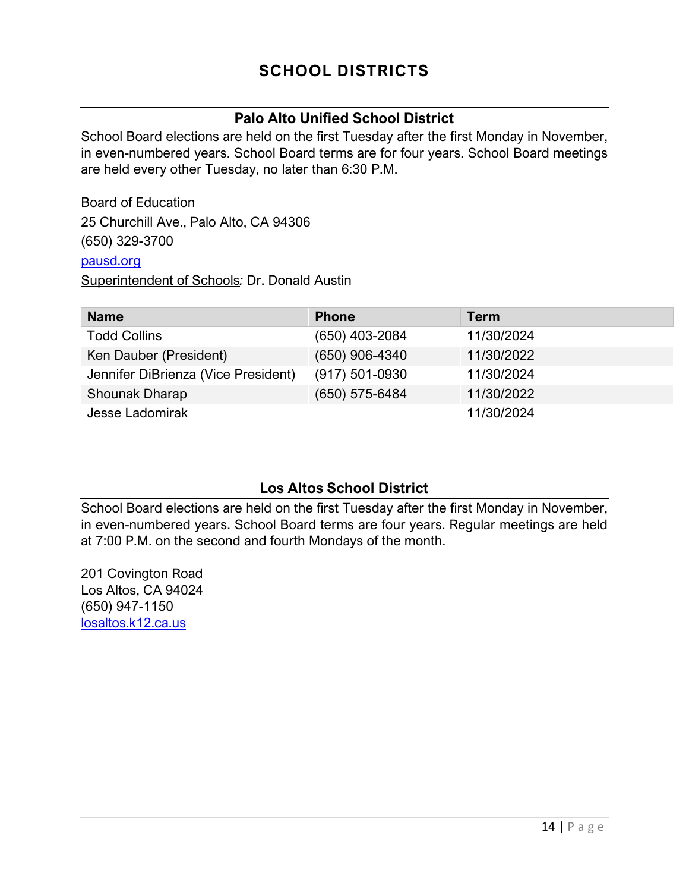## **SCHOOL DISTRICTS**

## **Palo Alto Unified School District**

School Board elections are held on the first Tuesday after the first Monday in November, in even-numbered years. School Board terms are for four years. School Board meetings are held every other Tuesday, no later than 6:30 P.M.

Board of Education 25 Churchill Ave., Palo Alto, CA 94306 (650) 329-3700 [pausd.org](http://www.pausd.org/)

Superintendent of Schools*:* Dr. Donald Austin

| <b>Name</b>                         | <b>Phone</b>       | <b>Term</b> |
|-------------------------------------|--------------------|-------------|
| <b>Todd Collins</b>                 | (650) 403-2084     | 11/30/2024  |
| Ken Dauber (President)              | $(650)$ 906-4340   | 11/30/2022  |
| Jennifer DiBrienza (Vice President) | $(917) 501 - 0930$ | 11/30/2024  |
| Shounak Dharap                      | (650) 575-6484     | 11/30/2022  |
| Jesse Ladomirak                     |                    | 11/30/2024  |

## **Los Altos School District**

School Board elections are held on the first Tuesday after the first Monday in November, in even-numbered years. School Board terms are four years. Regular meetings are held at 7:00 P.M. on the second and fourth Mondays of the month.

201 Covington Road Los Altos, CA 94024 (650) 947-1150 [losaltos.k12.ca.us](http://www.losaltos.k12.ca.us/)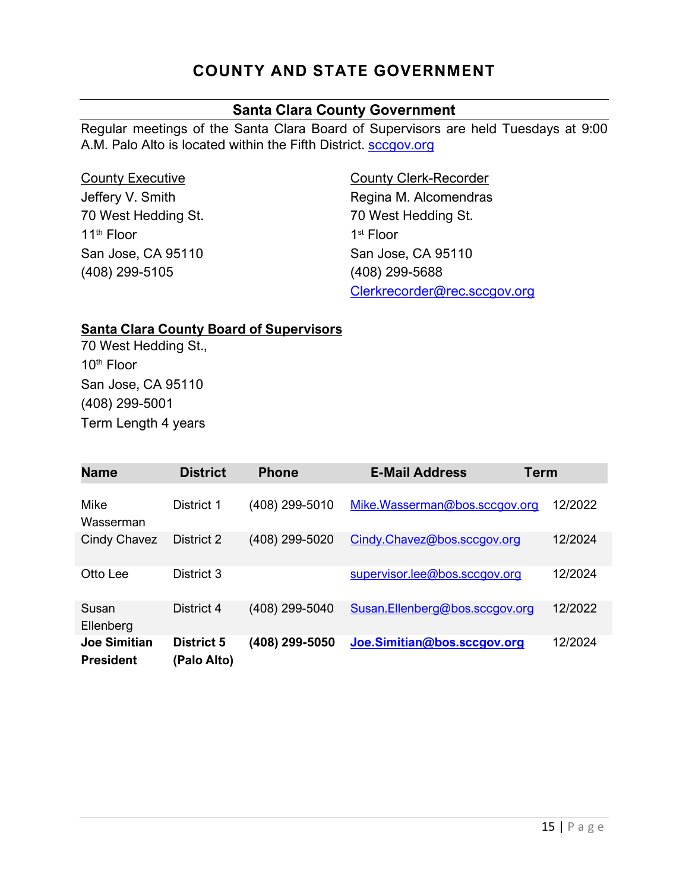## **COUNTY AND STATE GOVERNMENT**

## **Santa Clara County Government**

Regular meetings of the Santa Clara Board of Supervisors are held Tuesdays at 9:00 A.M. Palo Alto is located within the Fifth District. [sccgov.org](http://www.sccgov.org/)

| <b>County Executive</b> |  |  |  |  |
|-------------------------|--|--|--|--|
| Jeffery V. Smith        |  |  |  |  |
| 70 West Hedding St.     |  |  |  |  |
| 11 <sup>th</sup> Floor  |  |  |  |  |
| San Jose, CA 95110      |  |  |  |  |
| (408) 299-5105          |  |  |  |  |

County Clerk-Recorder Regina M. Alcomendras 70 West Hedding St. 1st Floor San Jose, CA 95110 (408) 299-5688 [Clerkrecorder@rec.sccgov.org](mailto:Clerkrecorder@rec.sccgov.org)

### **Santa Clara County Board of Supervisors**

70 West Hedding St., 10th Floor San Jose, CA 95110 (408) 299-5001 Term Length 4 years

| <b>Name</b>                             | <b>District</b>                  | <b>Phone</b>   | <b>E-Mail Address</b>          | <b>Term</b> |
|-----------------------------------------|----------------------------------|----------------|--------------------------------|-------------|
| Mike<br>Wasserman                       | District 1                       | (408) 299-5010 | Mike.Wasserman@bos.sccgov.org  | 12/2022     |
| Cindy Chavez                            | District 2                       | (408) 299-5020 | Cindy.Chavez@bos.sccgov.org    | 12/2024     |
| Otto Lee                                | District 3                       |                | supervisor.lee@bos.sccgov.org  | 12/2024     |
| Susan<br>Ellenberg                      | District 4                       | (408) 299-5040 | Susan.Ellenberg@bos.sccgov.org | 12/2022     |
| <b>Joe Simitian</b><br><b>President</b> | <b>District 5</b><br>(Palo Alto) | (408) 299-5050 | Joe.Simitian@bos.sccgov.org    | 12/2024     |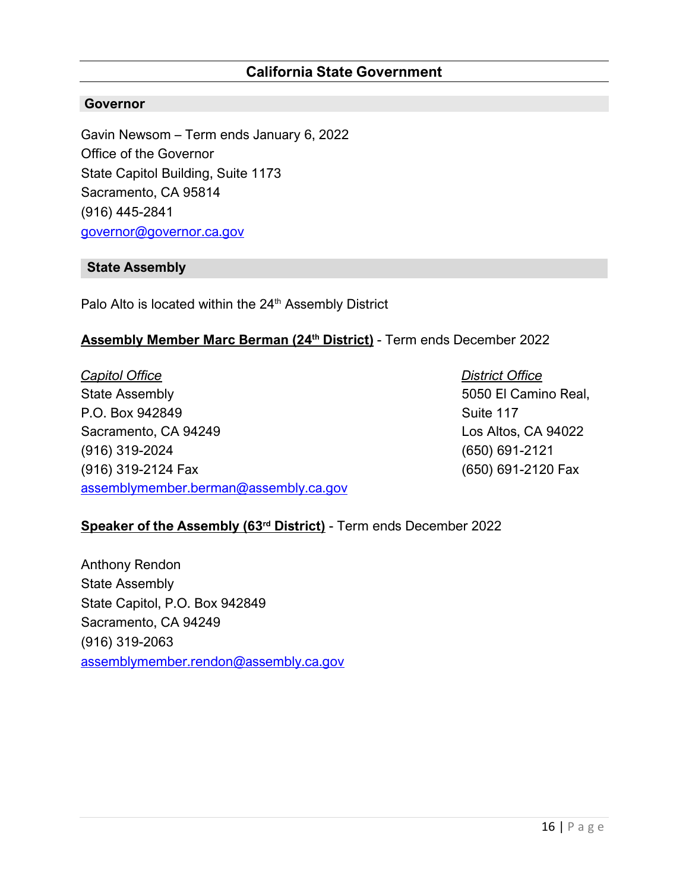## **California State Government**

#### **Governor**

Gavin Newsom – Term ends January 6, 2022 Office of the Governor State Capitol Building, Suite 1173 Sacramento, CA 95814 (916) 445-2841 [governor@governor.ca.gov](mailto:governor@governor.ca.gov)

#### **State Assembly**

Palo Alto is located within the 24<sup>th</sup> Assembly District

#### **Assembly Member Marc Berman (24th District)** - Term ends December 2022

*Capitol Office* State Assembly P.O. Box 942849 Sacramento, CA 94249 (916) 319-2024 (916) 319-2124 Fax [assemblymember.berman@assembly.ca.gov](mailto:assemblymember.berman@assembly.ca.gov) *District Office* 5050 El Camino Real, Suite 117 Los Altos, CA 94022 (650) 691-2121 (650) 691-2120 Fax

#### **Speaker of the Assembly (63rd District)** - Term ends December 2022

Anthony Rendon State Assembly State Capitol, P.O. Box 942849 Sacramento, CA 94249 (916) 319-2063 [assemblymember.rendon@assembly.ca.gov](mailto:assemblymember.rendon@assembly.ca.gov)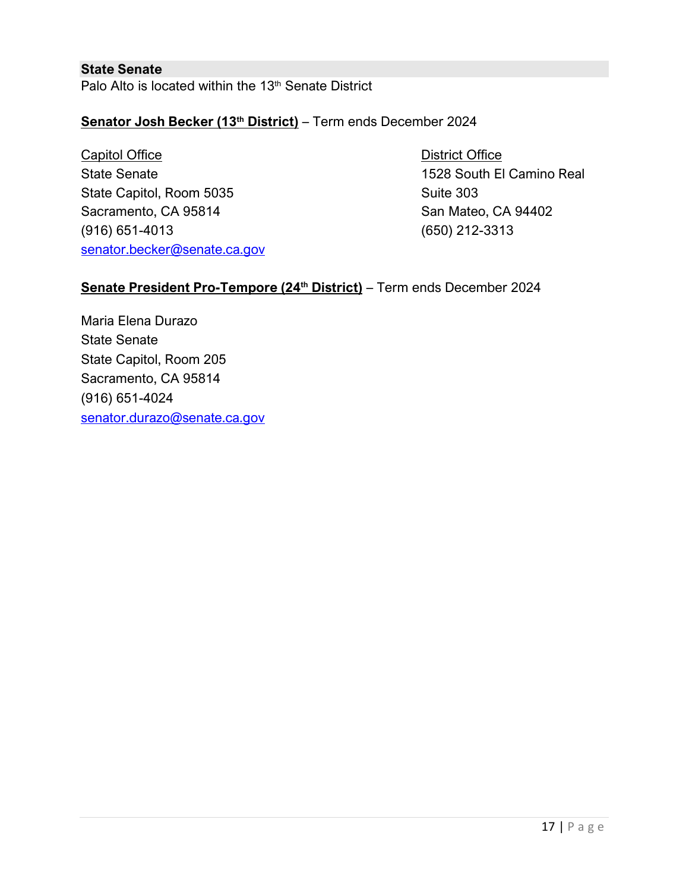## **State Senate** Palo Alto is located within the 13<sup>th</sup> Senate District

## **Senator Josh Becker (13th District)** – Term ends December 2024

Capitol Office State Senate State Capitol, Room 5035 Sacramento, CA 95814 (916) 651-4013 [senator.becker@senate.ca.gov](mailto:senator.becker@senate.ca.gov)

District Office 1528 South El Camino Real Suite 303 San Mateo, CA 94402 (650) 212-3313

## Senate President Pro-Tempore (24<sup>th</sup> District) – Term ends December 2024

Maria Elena Durazo State Senate State Capitol, Room 205 Sacramento, CA 95814 (916) 651-4024 [senator.durazo@senate.ca.gov](mailto:senator.durazo@senate.ca.gov)